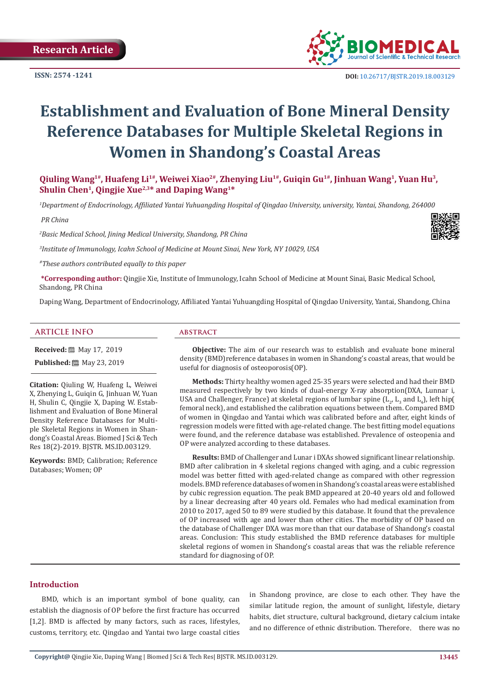**ISSN: 2574 -1241**



# **Establishment and Evaluation of Bone Mineral Density Reference Databases for Multiple Skeletal Regions in Women in Shandong's Coastal Areas**

**Qiuling Wang1#, Huafeng Li1#, Weiwei Xiao2#, Zhenying Liu1#, Guiqin Gu1#, Jinhuan Wang1, Yuan Hu3, Shulin Chen1, Qingjie Xue2,3\* and Daping Wang1\***

*1 Department of Endocrinology, Affiliated Yantai Yuhuangding Hospital of Qingdao University, university, Yantai, Shandong, 264000*

 *PR China*

*2 Basic Medical School, Jining Medical University, Shandong, PR China*

*3 Institute of Immunology, Icahn School of Medicine at Mount Sinai, New York, NY 10029, USA*

*#These authors contributed equally to this paper*

**\*Corresponding author:** Qingjie Xie, Institute of Immunology, Icahn School of Medicine at Mount Sinai, Basic Medical School, Shandong, PR China

Daping Wang, Department of Endocrinology, Affiliated Yantai Yuhuangding Hospital of Qingdao University, Yantai, Shandong, China

#### **ARTICLE INFO abstract**

**Received:** 圖 May 17, 2019

**Published:** 圖 May 23, 2019

**Citation:** Qiuling W, Huafeng L, Weiwei X, Zhenying L, Guiqin G, Jinhuan W, Yuan H, Shulin C, Qingjie X, Daping W. Establishment and Evaluation of Bone Mineral Density Reference Databases for Multiple Skeletal Regions in Women in Shandong's Coastal Areas. Biomed J Sci & Tech Res 18(2)-2019. BJSTR. MS.ID.003129.

**Keywords:** BMD; Calibration; Reference Databases; Women; OP

**Objective:** The aim of our research was to establish and evaluate bone mineral density (BMD)reference databases in women in Shandong's coastal areas, that would be useful for diagnosis of osteoporosis(OP).

**Methods:** Thirty healthy women aged 25-35 years were selected and had their BMD measured respectively by two kinds of dual-energy X-ray absorption(DXA, Lunnar i, USA and Challenger, France) at skeletal regions of lumbar spine  $(L_2, L_3$  and  $L_4$ ), left hip( femoral neck), and established the calibration equations between them. Compared BMD of women in Qingdao and Yantai which was calibrated before and after, eight kinds of regression models were fitted with age-related change. The best fitting model equations were found, and the reference database was established. Prevalence of osteopenia and OP were analyzed according to these databases.

**Results:** BMD of Challenger and Lunar i DXAs showed significant linear relationship. BMD after calibration in 4 skeletal regions changed with aging, and a cubic regression model was better fitted with aged-related change as compared with other regression models. BMD reference databases of women in Shandong's coastal areas were established by cubic regression equation. The peak BMD appeared at 20-40 years old and followed by a linear decreasing after 40 years old. Females who had medical examination from 2010 to 2017, aged 50 to 89 were studied by this database. It found that the prevalence of OP increased with age and lower than other cities. The morbidity of OP based on the database of Challenger DXA was more than that our database of Shandong's coastal areas. Conclusion: This study established the BMD reference databases for multiple skeletal regions of women in Shandong's coastal areas that was the reliable reference standard for diagnosing of OP.

#### **Introduction**

BMD, which is an important symbol of bone quality, can establish the diagnosis of OP before the first fracture has occurred [1,2]. BMD is affected by many factors, such as races, lifestyles, customs, territory, etc. Qingdao and Yantai two large coastal cities

in Shandong province, are close to each other. They have the similar latitude region, the amount of sunlight, lifestyle, dietary habits, diet structure, cultural background, dietary calcium intake and no difference of ethnic distribution. Therefore, there was no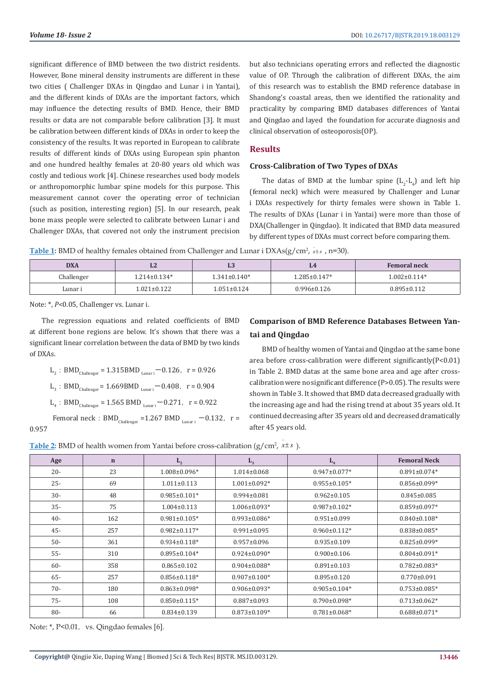significant difference of BMD between the two district residents. However, Bone mineral density instruments are different in these two cities ( Challenger DXAs in Qingdao and Lunar i in Yantai), and the different kinds of DXAs are the important factors, which may influence the detecting results of BMD. Hence, their BMD results or data are not comparable before calibration [3]. It must be calibration between different kinds of DXAs in order to keep the consistency of the results. It was reported in European to calibrate results of different kinds of DXAs using European spin phanton and one hundred healthy females at 20-80 years old which was costly and tedious work [4]. Chinese researches used body models or anthropomorphic lumbar spine models for this purpose. This measurement cannot cover the operating error of technician (such as position, interesting region) [5]. In our research, peak bone mass people were selected to calibrate between Lunar i and Challenger DXAs, that covered not only the instrument precision

but also technicians operating errors and reflected the diagnostic value of OP. Through the calibration of different DXAs, the aim of this research was to establish the BMD reference database in Shandong's coastal areas, then we identified the rationality and practicality by comparing BMD databases differences of Yantai and Qingdao and layed the foundation for accurate diagnosis and clinical observation of osteoporosis(OP).

### **Results**

#### **Cross-Calibration of Two Types of DXAs**

The datas of BMD at the lumbar spine  $(L_2-L_4)$  and left hip (femoral neck) which were measured by Challenger and Lunar i DXAs respectively for thirty females were shown in Table 1. The results of DXAs (Lunar i in Yantai) were more than those of DXA(Challenger in Qingdao). It indicated that BMD data measured by different types of DXAs must correct before comparing them.

Table 1: BMD of healthy females obtained from Challenger and Lunar i DXAs(g/cm<sup>2</sup>,  $\bar{x}$ ±s, n=30).

| <b>DXA</b> | ШZ                 | LЭ                 |                     | <b>Femoral neck</b> |
|------------|--------------------|--------------------|---------------------|---------------------|
| Challenger | $1.214 \pm 0.134*$ | $1.341 \pm 0.140*$ | $1.285 \pm 0.147$ * | $1.002 \pm 0.114*$  |
| Lunar i    | $1.021 \pm 0.122$  | $1.051 \pm 0.124$  | $0.996 \pm 0.126$   | $0.895 \pm 0.112$   |

Note: \*, *P*<0.05, Challenger vs. Lunar i.

The regression equations and related coefficients of BMD at different bone regions are below. It's shown that there was a significant linear correlation between the data of BMD by two kinds of DXAs.

 $L_2$ : BMD<sub>Challenger</sub> = 1.315BMD<sub>Lunari</sub> - 0.126, r = 0.926  $L_3$ : BMD<sub>Challenger</sub> = 1.669BMD<sub>Lunari</sub> - 0.408, r = 0.904  $L_4$ : BMD<sub>Challenger</sub> = 1.565 BMD<sub>Lunari</sub> - 0.271, r = 0.922

Femoral neck:  $BMD_{Challenger} = 1.267 BMD_{Lunari} -0.132$ , r = 0.957

# **Comparison of BMD Reference Databases Between Yantai and Qingdao**

BMD of healthy women of Yantai and Qingdao at the same bone area before cross-calibration were different significantly(P<0.01) in Table 2. BMD datas at the same bone area and age after crosscalibration were no significant difference (P>0.05). The results were shown in Table 3. It showed that BMD data decreased gradually with the increasing age and had the rising trend at about 35 years old. It continued decreasing after 35 years old and decreased dramatically after 45 years old.

**Table 2:** BMD of health women from Yantai before cross-calibration ( $g/cm^2$ ,  $x \pm s$ ).

| Age    | $\mathbf n$ | $L_{2}$             | $L_{3}$            | L <sub>4</sub>      | <b>Femoral Neck</b> |
|--------|-------------|---------------------|--------------------|---------------------|---------------------|
| $20 -$ | 23          | $1.008 \pm 0.096*$  | $1.014 \pm 0.068$  | $0.947 \pm 0.077*$  | $0.891 \pm 0.074*$  |
| $25 -$ | 69          | $1.011 \pm 0.113$   | $1.001 \pm 0.092*$ | $0.955 \pm 0.105*$  | $0.856 \pm 0.099*$  |
| $30 -$ | 48          | $0.985 \pm 0.101*$  | $0.994 \pm 0.081$  | $0.962 \pm 0.105$   | $0.845 \pm 0.085$   |
| $35 -$ | 75          | $1.004 \pm 0.113$   | $1.006 \pm 0.093*$ | $0.987 \pm 0.102*$  | $0.859 \pm 0.097*$  |
| $40 -$ | 162         | $0.981 \pm 0.105*$  | $0.993 \pm 0.086*$ | $0.951 \pm 0.099$   | $0.840 \pm 0.108*$  |
| $45 -$ | 257         | $0.982 \pm 0.117*$  | $0.991 \pm 0.095$  | $0.960 \pm 0.112*$  | $0.838 \pm 0.085*$  |
| $50-$  | 361         | $0.934 \pm 0.118*$  | $0.957 \pm 0.096$  | $0.935 \pm 0.109$   | $0.825 \pm 0.099*$  |
| $55 -$ | 310         | $0.895 \pm 0.104*$  | $0.924 \pm 0.090*$ | $0.900 \pm 0.106$   | $0.804 \pm 0.091*$  |
| $60 -$ | 358         | $0.865 \pm 0.102$   | $0.904 \pm 0.088*$ | $0.891 \pm 0.103$   | $0.782 \pm 0.083*$  |
| $65 -$ | 257         | $0.856 \pm 0.118*$  | $0.907 \pm 0.100*$ | $0.895 \pm 0.120$   | $0.770 \pm 0.091$   |
| $70-$  | 180         | $0.863 \pm 0.098$ * | $0.906 \pm 0.093*$ | $0.905 \pm 0.104*$  | $0.753 \pm 0.085$ * |
| $75 -$ | 108         | $0.850 \pm 0.115$ * | $0.887 \pm 0.093$  | $0.790 \pm 0.098*$  | $0.713 \pm 0.062$ * |
| $80 -$ | 66          | $0.834 \pm 0.139$   | $0.873 \pm 0.109*$ | $0.781 \pm 0.068$ * | $0.688 \pm 0.071*$  |

Note: \*, P<0.01, vs. Qingdao females [6].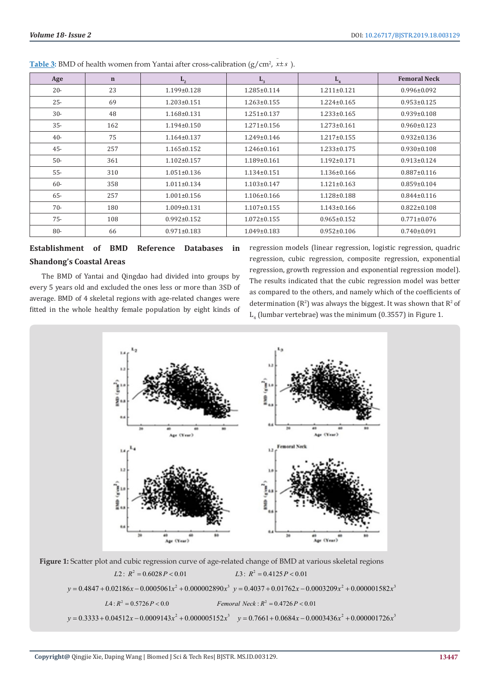| Age    | $\mathbf n$ | $L_{2}$           | $L_{3}$           | L <sub>4</sub>    | <b>Femoral Neck</b> |
|--------|-------------|-------------------|-------------------|-------------------|---------------------|
| $20 -$ | 23          | $1.199 \pm 0.128$ | $1.285 \pm 0.114$ | $1.211 \pm 0.121$ | $0.996 \pm 0.092$   |
| $25 -$ | 69          | $1.203 \pm 0.151$ | $1.263 \pm 0.155$ | $1.224 \pm 0.165$ | $0.953 \pm 0.125$   |
| $30 -$ | 48          | $1.168 \pm 0.131$ | $1.251 \pm 0.137$ | $1.233 \pm 0.165$ | $0.939 \pm 0.108$   |
| $35 -$ | 162         | $1.194 \pm 0.150$ | $1.271 \pm 0.156$ | $1.273 \pm 0.161$ | $0.960 \pm 0.123$   |
| $40 -$ | 75          | $1.164 \pm 0.137$ | $1.249 \pm 0.146$ | $1.217 \pm 0.155$ | $0.932 \pm 0.136$   |
| $45 -$ | 257         | $1.165 \pm 0.152$ | $1.246 \pm 0.161$ | $1.233 \pm 0.175$ | $0.930 \pm 0.108$   |
| $50-$  | 361         | $1.102 \pm 0.157$ | $1.189 \pm 0.161$ | $1.192 \pm 0.171$ | $0.913 \pm 0.124$   |
| $55 -$ | 310         | $1.051 \pm 0.136$ | $1.134 \pm 0.151$ | 1.136±0.166       | $0.887 \pm 0.116$   |
| $60 -$ | 358         | $1.011 \pm 0.134$ | $1.103 \pm 0.147$ | $1.121 \pm 0.163$ | $0.859 \pm 0.104$   |
| $65 -$ | 257         | $1.001 \pm 0.156$ | $1.106 \pm 0.166$ | 1.128±0.188       | $0.844 \pm 0.116$   |
| $70-$  | 180         | $1.009 \pm 0.131$ | $1.107 \pm 0.155$ | $1.143 \pm 0.166$ | $0.822 \pm 0.108$   |
| $75 -$ | 108         | $0.992 \pm 0.152$ | $1.072 \pm 0.155$ | $0.965 \pm 0.152$ | $0.771 \pm 0.076$   |
| $80 -$ | 66          | $0.971 \pm 0.183$ | $1.049 \pm 0.183$ | $0.952 \pm 0.106$ | $0.740 \pm 0.091$   |

**Table 3:** BMD of health women from Yantai after cross-calibration (g/cm<sup>2</sup>, *x*±*s*).

# **Establishment of BMD Reference Databases in Shandong's Coastal Areas**

The BMD of Yantai and Qingdao had divided into groups by every 5 years old and excluded the ones less or more than 3SD of average. BMD of 4 skeletal regions with age-related changes were fitted in the whole healthy female population by eight kinds of

regression models (linear regression, logistic regression, quadric regression, cubic regression, composite regression, exponential regression, growth regression and exponential regression model). The results indicated that the cubic regression model was better as compared to the others, and namely which of the coefficients of determination ( $\mathbb{R}^2$ ) was always the biggest. It was shown that  $\mathbb{R}^2$  of  $\mathsf{L}_4$  (lumbar vertebrae) was the minimum (0.3557) in Figure 1.



**Figure 1:** Scatter plot and cubic regression curve of age-related change of BMD at various skeletal regions

 $L2$ :  $R^2 = 0.6028 P < 0.01$   $L3$ :  $R^2 = 0.4125 P < 0.01$  $y = 0.4847 + 0.02186 x - 0.0005061 x^2 + 0.000002890 x^3$   $y = 0.4037 + 0.01762 x - 0.0003209 x^2 + 0.000001582 x^3$  $L4: R^2 = 0.5726 P < 0.0$  *Femoral Neck* :  $R^2 = 0.4726 P < 0.01$  $y = 0.3333 + 0.04512x - 0.0009143x^{2} + 0.000005152x^{3}$   $y = 0.7661 + 0.0684x - 0.0003436x^{2} + 0.000001726x^{3}$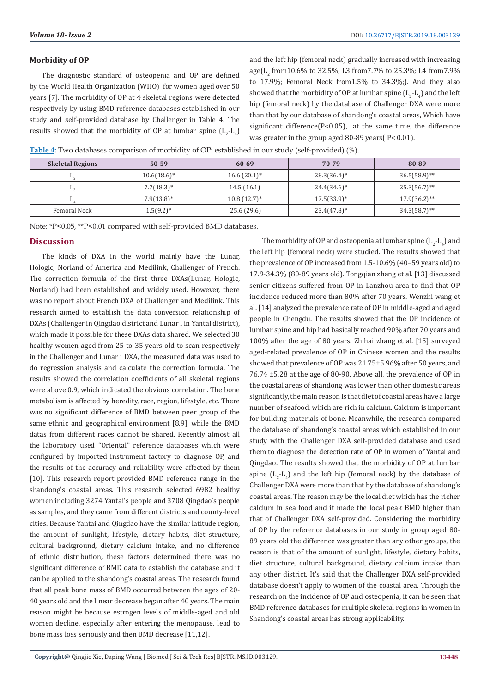#### **Morbidity of OP**

The [diagnostic](D:/Youdao/Dict/7.0.1.0227/resultui/dict/?keyword=diagnostic) [standard](D:/Youdao/Dict/7.0.1.0227/resultui/dict/javascript:;) of osteopenia and OP are defined by the World Health Organization (WHO) for women aged over 50 years [7]. The morbidity of OP at 4 skeletal regions were detected respectively by using BMD reference databases established in our study and self-provided database by Challenger in Table 4. The results showed that the morbidity of OP at lumbar spine  $(L_2-L_4)$  and the left hip (femoral neck) gradually increased with increasing age( $L_2$  from10.6% to 32.5%; L3 from7.7% to 25.3%; L4 from7.9% to 17.9%; Femoral Neck from1.5% to 34.3%;). And they also showed that the morbidity of OP at lumbar spine  $(\mathtt{L}_2\text{-}\mathtt{L}_4)$  and the left hip (femoral neck) by the database of Challenger DXA were more than that by our database of shandong's coastal areas, Which have significant difference( $P < 0.05$ ), at the same time, the difference was greater in the group aged 80-89 years( P< 0.01).

**Table 4:** Two databases comparison of morbidity of OP: established in our study (self-provided) (%).

| <b>Skeletal Regions</b> | $50 - 59$      | 60-69                     | 70-79          | 80-89           |
|-------------------------|----------------|---------------------------|----------------|-----------------|
| ⊷                       | $10.6(18.6)^*$ | $16.6(20.1)^*$            | $28.3(36.4)^*$ | $36.5(58.9)$ ** |
| ы.                      | $7.7(18.3)*$   | 14.5(16.1)                | $24.4(34.6)^*$ | $25.3(56.7)$ ** |
| ш.                      | $7.9(13.8)^*$  | $10.8(12.7)$ <sup>*</sup> | $17.5(33.9)^*$ | $17.9(36.2)$ ** |
| Femoral Neck            | $1.5(9.2)^{*}$ | 25.6 (29.6)               | $23.4(47.8)^*$ | $34.3(58.7)$ ** |

Note: \*P<0.05, \*\*P<0.01 compared with self-provided BMD databases.

# **Discussion**

The kinds of DXA in the world mainly have the Lunar, Hologic, Norland of America and Medilink, Challenger of French. The correction formula of the first three DXAs(Lunar, Hologic, Norland) had been established and widely used. However, there was no report about French DXA of Challenger and Medilink. This research aimed to establish the data conversion relationship of DXAs (Challenger in Qingdao district and Lunar i in Yantai district), which made it possible for these DXAs data shared. We selected 30 healthy women aged from 25 to 35 years old to scan respectively in the Challenger and Lunar i DXA, the measured data was used to do regression analysis and calculate the correction formula. The results showed the correlation coefficients of all skeletal regions were above 0.9, which indicated the obvious correlation. The bone metabolism is affected by heredity, race, region, lifestyle, etc. There was no significant difference of BMD between peer group of the same ethnic and geographical environment [8,9], while the BMD datas from different races cannot be shared. Recently almost all the laboratory used "Oriental" reference databases which were configured by imported instrument factory to diagnose OP, and the results of the accuracy and reliability were affected by them [10]. This research report provided BMD reference range in the shandong's coastal areas. This research selected 6982 healthy women including 3274 Yantai's people and 3708 Qingdao's people as samples, and they came from different districts and county-level cities. Because Yantai and Qingdao have the similar latitude region, the amount of sunlight, lifestyle, dietary habits, diet structure, cultural background, dietary calcium intake, and no difference of ethnic distribution, these factors determined there was no significant difference of BMD data to establish the database and it can be applied to the shandong's coastal areas. The research found that all peak bone mass of BMD occurred between the ages of 20- 40 years old and the linear decrease began after 40 years. The main reason might be because estrogen levels of middle-aged and old women decline, especially after entering the menopause, lead to bone mass loss seriously and then BMD decrease [11,12].

The morbidity of OP and osteopenia at lumbar spine  $(L_2-L_4)$  and the left hip (femoral neck) were studied. The results showed that the prevalence of OP increased from 1.5-10.6% (40–59 years old) to 17.9-34.3% (80-89 years old). Tongqian zhang et al. [13] discussed senior citizens suffered from OP in Lanzhou area to find that OP incidence reduced more than 80% after 70 years. Wenzhi wang et al. [14] analyzed the prevalence rate of OP in middle-aged and aged people in Chengdu. The results showed that the OP incidence of lumbar spine and hip had basically reached 90% after 70 years and 100% after the age of 80 years. Zhihai zhang et al. [15] surveyed aged-related prevalence of OP in Chinese women and the results showed that prevalence of OP was 21.75±5.96% after 50 years, and 76.74 ±5.28 at the age of 80-90. Above all, the prevalence of OP in the coastal areas of shandong was lower than other domestic areas significantly, the main reason is that diet of coastal areas have a large number of seafood, which are rich in calcium. Calcium is important for building materials of bone. Meanwhile, the research compared the database of shandong's coastal areas which established in our study with the Challenger DXA self-provided database and used them to diagnose the detection rate of OP in women of Yantai and Qingdao. The results showed that the morbidity of OP at lumbar spine  $(L_2-L_4)$  and the left hip (femoral neck) by the database of Challenger DXA were more than that by the database of shandong's coastal areas. The reason may be the local diet which has the richer calcium in sea food and it made the local peak BMD higher than that of Challenger DXA self-provided. Considering the morbidity of OP by the reference databases in our study in group aged 80- 89 years old the difference was greater than any other groups, the reason is that of the amount of sunlight, lifestyle, dietary habits, diet structure, cultural background, dietary calcium intake than any other district. It's said that the Challenger DXA self-provided database doesn't apply to women of the coastal area. Through the research on the incidence of OP and osteopenia, it can be seen that BMD reference databases for multiple skeletal regions in women in Shandong's coastal areas has strong applicability.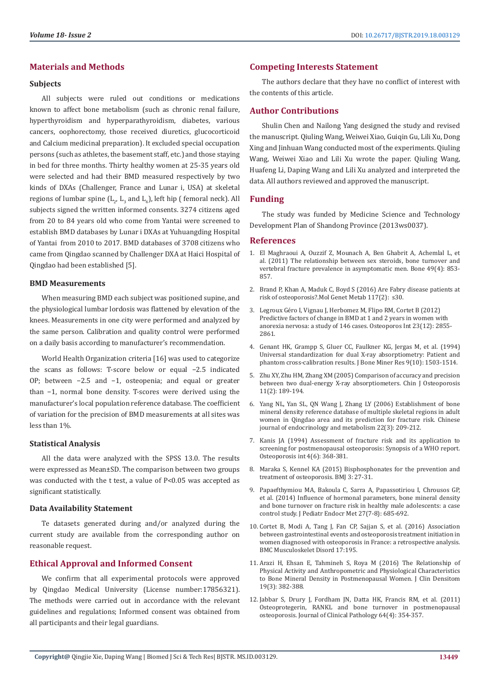# **Materials and Methods**

#### **Subjects**

All subjects were ruled out conditions or medications known to affect bone metabolism (such as chronic renal failure, hyperthyroidism and hyperparathyroidism, diabetes, various cancers, oophorectomy, those received diuretics, glucocorticoid and Calcium medicinal preparation). It excluded special occupation persons (such as athletes, the basement staff, etc.) and those staying in bed for three months. Thirty healthy women at 25-35 years old were selected and had their BMD measured respectively by two kinds of DXAs (Challenger, France and Lunar i, USA) at skeletal regions of lumbar spine ( $L_{2'}$ ,  $L_{3}$  and  $L_{4}$ ), left hip ( femoral neck). All subjects signed the written informed consents. 3274 citizens aged from 20 to 84 years old who come from Yantai were screened to establish BMD databases by Lunar i DXAs at Yuhuangding Hospital of Yantai from 2010 to 2017. BMD databases of 3708 citizens who came from Qingdao scanned by Challenger DXA at Haici Hospital of Qingdao had been established [5].

#### **BMD Measurements**

When measuring BMD each subject was positioned supine, and the physiological lumbar lordosis was flattened by elevation of the knees. Measurements in one city were performed and analyzed by the same person. Calibration and quality control were performed on a daily basis according to manufacturer's recommendation.

World Health Organization criteria [16] was used to categorize the scans as follows: T-score below or equal −2.5 indicated OP; between −2.5 and −1, osteopenia; and equal or greater than −1, normal bone density. T-scores were derived using the manufacturer's local population reference database. The coefficient of variation for the precision of BMD measurements at all sites was less than 1%.

#### **Statistical Analysis**

All the data were analyzed with the SPSS 13.0. The results were expressed as Mean±SD. The comparison between two groups was conducted with the t test, a value of P<0.05 was accepted as significant statistically.

# **Data Availability Statement**

Te datasets generated during and/or analyzed during the current study are available from the corresponding author on reasonable request.

# **Ethical Approval and Informed Consent**

We confirm that all experimental protocols were approved by Qingdao Medical University (License number:17856321). The methods were carried out in accordance with the relevant guidelines and regulations; Informed consent was obtained from all participants and their legal guardians.

# **Competing Interests Statement**

The authors declare that they have no conflict of interest with the contents of this article.

# **Author Contributions**

Shulin Chen and Nailong Yang designed the study and revised the manuscript. Qiuling Wang, Weiwei Xiao, Guiqin Gu, Lili Xu, Dong Xing and Jinhuan Wang conducted most of the experiments. Qiuling Wang, Weiwei Xiao and Lili Xu wrote the paper. Qiuling Wang, Huafeng Li, Daping Wang and Lili Xu analyzed and interpreted the data. All authors reviewed and approved the manuscript.

# **Funding**

The study was funded by Medicine Science and Technology Development Plan of Shandong Province (2013ws0037).

#### **References**

- 1. [El Maghraoui A, Ouzzif Z, Mounach A, Ben Ghabrit A, Achemlal L, et](https://www.ncbi.nlm.nih.gov/pubmed/21723429) [al. \(2011\) The relationship between sex steroids, bone turnover and](https://www.ncbi.nlm.nih.gov/pubmed/21723429) [vertebral fracture prevalence in asymptomatic men. Bone 49\(4\): 853-](https://www.ncbi.nlm.nih.gov/pubmed/21723429) [857.](https://www.ncbi.nlm.nih.gov/pubmed/21723429)
- 2. Brand P, Khan A, Maduk C, Boyd S (2016) Are Fabry disease patients at risk of osteoporosis?.Mol Genet Metab 117(2): s30.
- 3. [Legroux Géro I, Vignau J, Herbomez M, Flipo RM, Cortet B \(2012\)](https://www.ncbi.nlm.nih.gov/pubmed/22349911)  [Predictive factors of change in BMD at 1 and 2 years in women with](https://www.ncbi.nlm.nih.gov/pubmed/22349911)  [anorexia nervosa: a study of 146 cases. Osteoporos Int 23\(12\): 2855-](https://www.ncbi.nlm.nih.gov/pubmed/22349911) [2861.](https://www.ncbi.nlm.nih.gov/pubmed/22349911)
- 4. [Genant HK, Grampp S, Gluer CC, Faulkner KG, Jergas M, et al. \(1994\)](https://www.ncbi.nlm.nih.gov/pubmed/7817795) [Universal standardization for dual X-ray absorptiometry: Patient and](https://www.ncbi.nlm.nih.gov/pubmed/7817795) [phantom cross-calibration results. J Bone Miner Res 9\(10\): 1503-1514.](https://www.ncbi.nlm.nih.gov/pubmed/7817795)
- 5. Zhu XY, Zhu HM, Zhang XM (2005) Comparison of accuracy and precision between two dual-energy X-ray absorptiometers. Chin J Osteoporosis 11(2): 189-194.
- 6. Yang NL, Yan SL, QN Wang J, Zhang LY (2006) Establishment of bone mineral density reference database of multiple skeletal regions in adult women in Qingdao area and its prediction for fracture risk. Chinese journal of endocrinology and metabolism 22(3): 209-212.
- 7. [Kanis JA \(1994\) Assessment of fracture risk and its application to](https://www.ncbi.nlm.nih.gov/pubmed/7696835) [screening for postmenopausal osteoporosis: Synopsis of a WHO report.](https://www.ncbi.nlm.nih.gov/pubmed/7696835) [Osteoporosis int 4\(6\): 368-381.](https://www.ncbi.nlm.nih.gov/pubmed/7696835)
- 8. [Maraka S, Kennel KA \(2015\) Bisphosphonates for the prevention and](https://www.ncbi.nlm.nih.gov/pubmed/26333528) [treatment of osteoporosis. BMJ 3: 27-31.](https://www.ncbi.nlm.nih.gov/pubmed/26333528)
- 9. [Papaefthymiou MA, Bakoula C, Sarra A, Papassotiriou I, Chrousos GP,](https://www.ncbi.nlm.nih.gov/pubmed/24756049) [et al. \(2014\) Influence of hormonal parameters, bone mineral density](https://www.ncbi.nlm.nih.gov/pubmed/24756049) [and bone turnover on fracture risk in healthy male adolescents: a case](https://www.ncbi.nlm.nih.gov/pubmed/24756049) [control study. J Pediatr Endocr Met 27\(7-8\): 685-692.](https://www.ncbi.nlm.nih.gov/pubmed/24756049)
- 10. [Cortet B, Modi A, Tang J, Fan CP, Sajjan S, et al. \(2016\) Association](https://www.ncbi.nlm.nih.gov/pmc/articles/PMC4852421/) [between gastrointestinal events and osteoporosis treatment initiation in](https://www.ncbi.nlm.nih.gov/pmc/articles/PMC4852421/) [women diagnosed with osteoporosis in France: a retrospective analysis.](https://www.ncbi.nlm.nih.gov/pmc/articles/PMC4852421/) [BMC Musculoskelet Disord 17:195.](https://www.ncbi.nlm.nih.gov/pmc/articles/PMC4852421/)
- 11. [Arazi H, Ehsan E, Tahmineh S, Roya M \(2016\) The Relationship of](https://www.ncbi.nlm.nih.gov/pubmed/26922458) [Physical Activity and Anthropometric and Physiological Characteristics](https://www.ncbi.nlm.nih.gov/pubmed/26922458) [to Bone Mineral Density in Postmenopausal Women. J Clin Densitom](https://www.ncbi.nlm.nih.gov/pubmed/26922458) [19\(3\): 382-388.](https://www.ncbi.nlm.nih.gov/pubmed/26922458)
- 12. [Jabbar S, Drury J, Fordham JN, Datta HK, Francis RM, et al. \(2011\)](https://www.ncbi.nlm.nih.gov/pubmed/21307155) [Osteoprotegerin, RANKL and bone turnover in postmenopausal](https://www.ncbi.nlm.nih.gov/pubmed/21307155) [osteoporosis. Journal of Clinical Pathology 64\(4\): 354-357.](https://www.ncbi.nlm.nih.gov/pubmed/21307155)